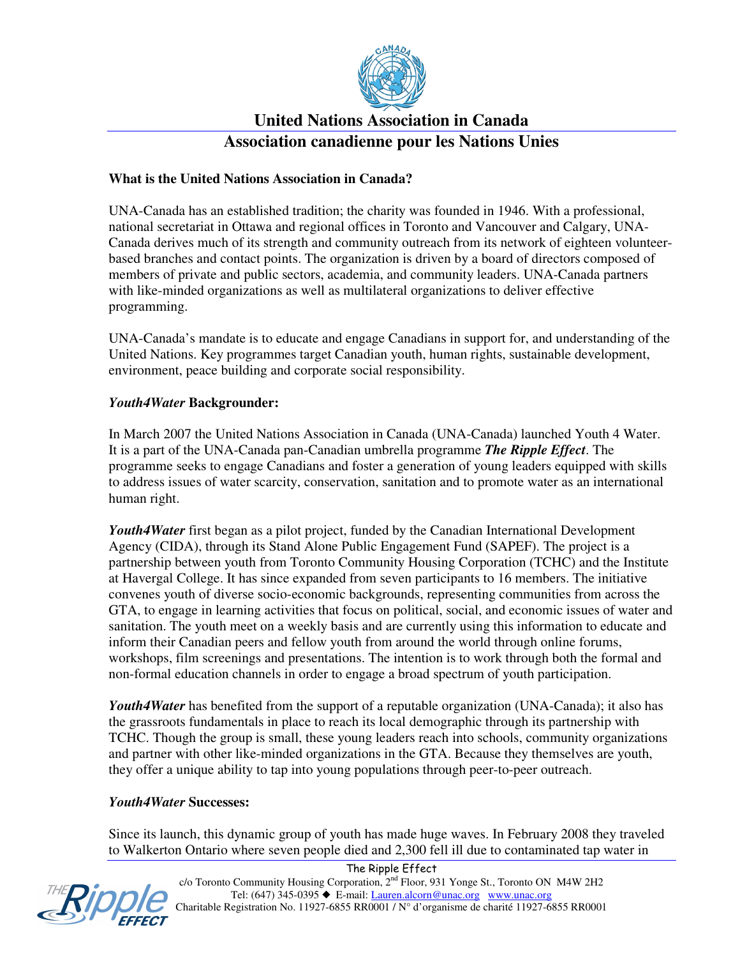

## **United Nations Association in Canada Association canadienne pour les Nations Unies**

### **What is the United Nations Association in Canada?**

UNA-Canada has an established tradition; the charity was founded in 1946. With a professional, national secretariat in Ottawa and regional offices in Toronto and Vancouver and Calgary, UNA-Canada derives much of its strength and community outreach from its network of eighteen volunteerbased branches and contact points. The organization is driven by a board of directors composed of members of private and public sectors, academia, and community leaders. UNA-Canada partners with like-minded organizations as well as multilateral organizations to deliver effective programming.

UNA-Canada's mandate is to educate and engage Canadians in support for, and understanding of the United Nations. Key programmes target Canadian youth, human rights, sustainable development, environment, peace building and corporate social responsibility.

#### *Youth4Water* **Backgrounder:**

In March 2007 the United Nations Association in Canada (UNA-Canada) launched Youth 4 Water. It is a part of the UNA-Canada pan-Canadian umbrella programme *The Ripple Effect*. The programme seeks to engage Canadians and foster a generation of young leaders equipped with skills to address issues of water scarcity, conservation, sanitation and to promote water as an international human right.

Youth4Water first began as a pilot project, funded by the Canadian International Development Agency (CIDA), through its Stand Alone Public Engagement Fund (SAPEF). The project is a partnership between youth from Toronto Community Housing Corporation (TCHC) and the Institute at Havergal College. It has since expanded from seven participants to 16 members. The initiative convenes youth of diverse socio-economic backgrounds, representing communities from across the GTA, to engage in learning activities that focus on political, social, and economic issues of water and sanitation. The youth meet on a weekly basis and are currently using this information to educate and inform their Canadian peers and fellow youth from around the world through online forums, workshops, film screenings and presentations. The intention is to work through both the formal and non-formal education channels in order to engage a broad spectrum of youth participation.

Youth4Water has benefited from the support of a reputable organization (UNA-Canada); it also has the grassroots fundamentals in place to reach its local demographic through its partnership with TCHC. Though the group is small, these young leaders reach into schools, community organizations and partner with other like-minded organizations in the GTA. Because they themselves are youth, they offer a unique ability to tap into young populations through peer-to-peer outreach.

#### *Youth4Water* **Successes:**

Since its launch, this dynamic group of youth has made huge waves. In February 2008 they traveled to Walkerton Ontario where seven people died and 2,300 fell ill due to contaminated tap water in